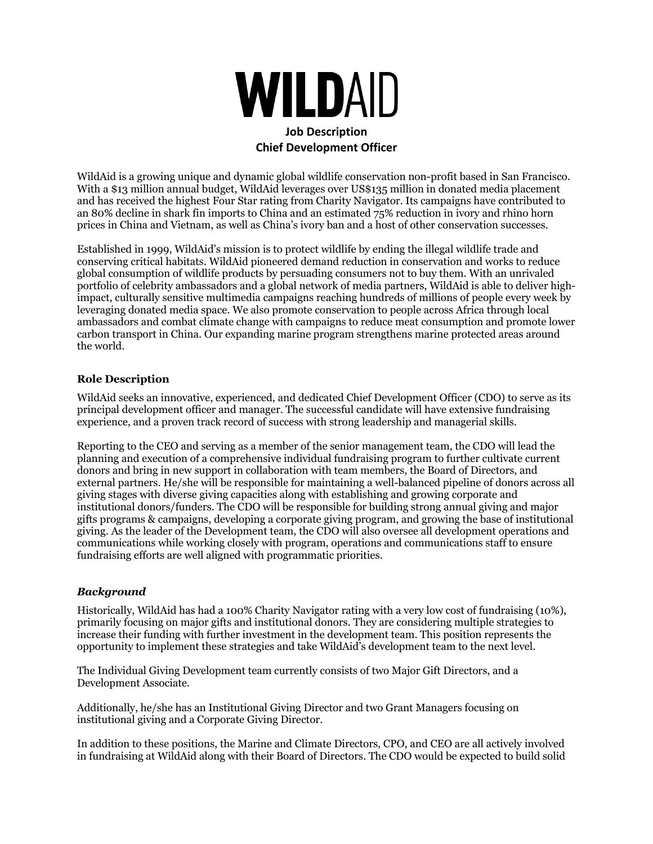

WildAid is a growing unique and dynamic global wildlife conservation non-profit based in San Francisco. With a \$13 million annual budget, WildAid leverages over US\$135 million in donated media placement and has received the highest Four Star rating from Charity Navigator. Its campaigns have contributed to an 80% decline in shark fin imports to China and an estimated 75% reduction in ivory and rhino horn prices in China and Vietnam, as well as China's ivory ban and a host of other conservation successes.

Established in 1999, WildAid's mission is to protect wildlife by ending the illegal wildlife trade and conserving critical habitats. WildAid pioneered demand reduction in conservation and works to reduce global consumption of wildlife products by persuading consumers not to buy them. With an unrivaled portfolio of celebrity ambassadors and a global network of media partners, WildAid is able to deliver highimpact, culturally sensitive multimedia campaigns reaching hundreds of millions of people every week by leveraging donated media space. We also promote conservation to people across Africa through local ambassadors and combat climate change with campaigns to reduce meat consumption and promote lower carbon transport in China. Our expanding marine program strengthens marine protected areas around the world.

## **Role Description**

WildAid seeks an innovative, experienced, and dedicated Chief Development Officer (CDO) to serve as its principal development officer and manager. The successful candidate will have extensive fundraising experience, and a proven track record of success with strong leadership and managerial skills.

Reporting to the CEO and serving as a member of the senior management team, the CDO will lead the planning and execution of a comprehensive individual fundraising program to further cultivate current donors and bring in new support in collaboration with team members, the Board of Directors, and external partners. He/she will be responsible for maintaining a well-balanced pipeline of donors across all giving stages with diverse giving capacities along with establishing and growing corporate and institutional donors/funders. The CDO will be responsible for building strong annual giving and major gifts programs & campaigns, developing a corporate giving program, and growing the base of institutional giving. As the leader of the Development team, the CDO will also oversee all development operations and communications while working closely with program, operations and communications staff to ensure fundraising efforts are well aligned with programmatic priorities.

#### *Background*

Historically, WildAid has had a 100% Charity Navigator rating with a very low cost of fundraising (10%), primarily focusing on major gifts and institutional donors. They are considering multiple strategies to increase their funding with further investment in the development team. This position represents the opportunity to implement these strategies and take WildAid's development team to the next level.

The Individual Giving Development team currently consists of two Major Gift Directors, and a Development Associate.

Additionally, he/she has an Institutional Giving Director and two Grant Managers focusing on institutional giving and a Corporate Giving Director.

In addition to these positions, the Marine and Climate Directors, CPO, and CEO are all actively involved in fundraising at WildAid along with their Board of Directors. The CDO would be expected to build solid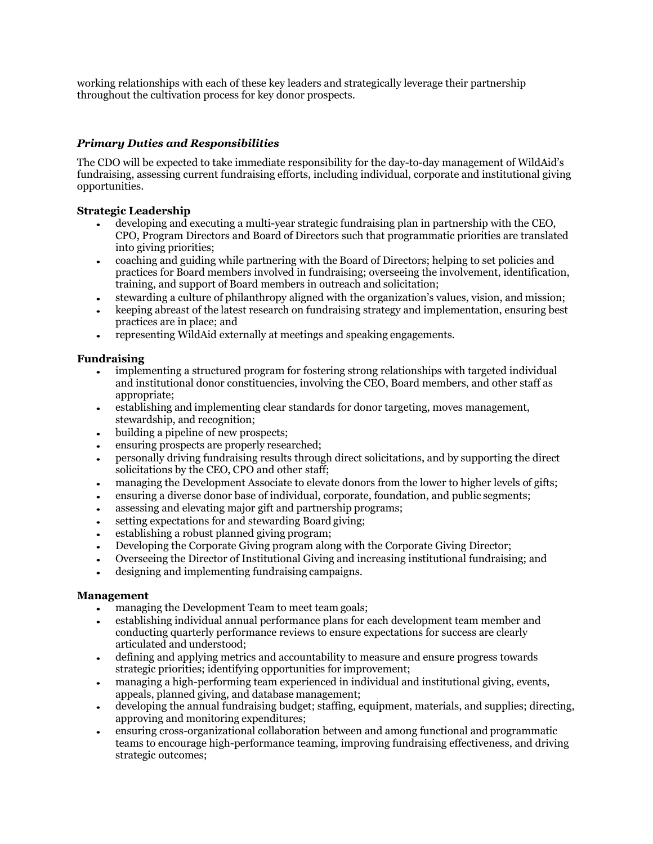working relationships with each of these key leaders and strategically leverage their partnership throughout the cultivation process for key donor prospects.

# *Primary Duties and Responsibilities*

The CDO will be expected to take immediate responsibility for the day-to-day management of WildAid's fundraising, assessing current fundraising efforts, including individual, corporate and institutional giving opportunities.

## **Strategic Leadership**

- developing and executing a multi-year strategic fundraising plan in partnership with the CEO, CPO, Program Directors and Board of Directors such that programmatic priorities are translated into giving priorities;
- coaching and guiding while partnering with the Board of Directors; helping to set policies and practices for Board members involved in fundraising; overseeing the involvement, identification, training, and support of Board members in outreach and solicitation;
- stewarding a culture of philanthropy aligned with the organization's values, vision, and mission;
- keeping abreast of the latest research on fundraising strategy and implementation, ensuring best practices are in place; and
- representing WildAid externally at meetings and speaking engagements.

## **Fundraising**

- implementing a structured program for fostering strong relationships with targeted individual and institutional donor constituencies, involving the CEO, Board members, and other staff as appropriate;
- establishing and implementing clear standards for donor targeting, moves management, stewardship, and recognition;
- building a pipeline of new prospects;
- ensuring prospects are properly researched;
- personally driving fundraising results through direct solicitations, and by supporting the direct solicitations by the CEO, CPO and other staff;
- managing the Development Associate to elevate donors from the lower to higher levels of gifts;
- ensuring a diverse donor base of individual, corporate, foundation, and public segments;
- assessing and elevating major gift and partnership programs;
- setting expectations for and stewarding Board giving;
- establishing a robust planned giving program;
- Developing the Corporate Giving program along with the Corporate Giving Director;
- Overseeing the Director of Institutional Giving and increasing institutional fundraising; and
- designing and implementing fundraising campaigns.

## **Management**

- managing the Development Team to meet team goals:
- establishing individual annual performance plans for each development team member and conducting quarterly performance reviews to ensure expectations for success are clearly articulated and understood;
- defining and applying metrics and accountability to measure and ensure progress towards strategic priorities; identifying opportunities for improvement;
- managing a high-performing team experienced in individual and institutional giving, events, appeals, planned giving, and database management;
- developing the annual fundraising budget; staffing, equipment, materials, and supplies; directing, approving and monitoring expenditures;
- ensuring cross-organizational collaboration between and among functional and programmatic teams to encourage high-performance teaming, improving fundraising effectiveness, and driving strategic outcomes;